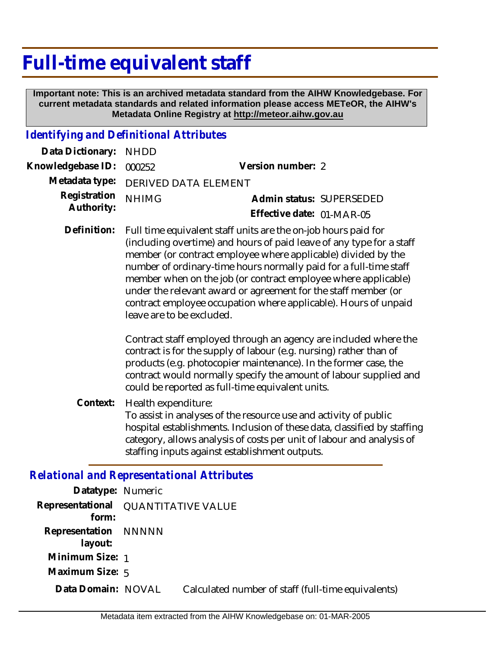# **Full-time equivalent staff**

 **Important note: This is an archived metadata standard from the AIHW Knowledgebase. For current metadata standards and related information please access METeOR, the AIHW's Metadata Online Registry at http://meteor.aihw.gov.au**

#### *Identifying and Definitional Attributes*

| Data Dictionary: NHDD    |                                     |                           |                          |
|--------------------------|-------------------------------------|---------------------------|--------------------------|
| Knowledgebase ID: 000252 |                                     | Version number: 2         |                          |
|                          | Metadata type: DERIVED DATA ELEMENT |                           |                          |
| Registration NHIMG       |                                     |                           | Admin status: SUPERSEDED |
| Authority:               |                                     | Effective date: 01-MAR-05 |                          |

Full time equivalent staff units are the on-job hours paid for (including overtime) and hours of paid leave of any type for a staff member (or contract employee where applicable) divided by the number of ordinary-time hours normally paid for a full-time staff member when on the job (or contract employee where applicable) under the relevant award or agreement for the staff member (or contract employee occupation where applicable). Hours of unpaid leave are to be excluded. **Definition:**

> Contract staff employed through an agency are included where the contract is for the supply of labour (e.g. nursing) rather than of products (e.g. photocopier maintenance). In the former case, the contract would normally specify the amount of labour supplied and could be reported as full-time equivalent units.

Health expenditure: To assist in analyses of the resource use and activity of public hospital establishments. Inclusion of these data, classified by staffing category, allows analysis of costs per unit of labour and analysis of staffing inputs against establishment outputs. **Context:**

#### *Relational and Representational Attributes*

| Datatype: Numeric               |                           |                                                    |
|---------------------------------|---------------------------|----------------------------------------------------|
| Representational<br>form:       | <b>QUANTITATIVE VALUE</b> |                                                    |
| Representation NNNNN<br>layout: |                           |                                                    |
| Minimum Size: 1                 |                           |                                                    |
| Maximum Size: $5$               |                           |                                                    |
| Data Domain: NOVAL              |                           | Calculated number of staff (full-time equivalents) |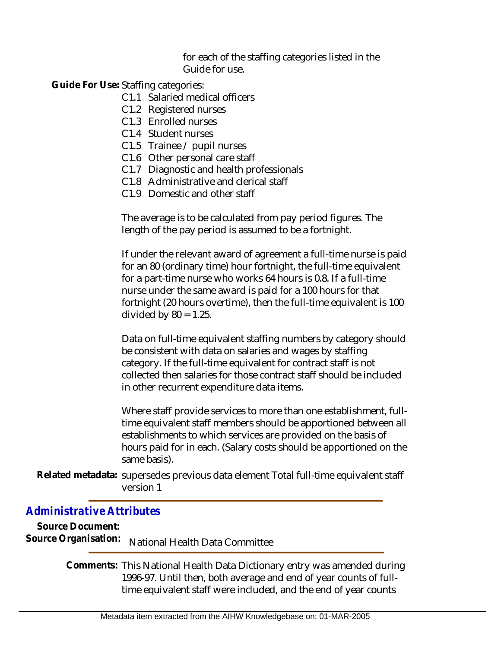for each of the staffing categories listed in the Guide for use.

Guide For Use: Staffing categories:

- C1.1 Salaried medical officers
- C1.2 Registered nurses
- C1.3 Enrolled nurses
- C1.4 Student nurses
- C1.5 Trainee / pupil nurses
- C1.6 Other personal care staff
- C1.7 Diagnostic and health professionals
- C1.8 Administrative and clerical staff
- C1.9 Domestic and other staff

The average is to be calculated from pay period figures. The length of the pay period is assumed to be a fortnight.

If under the relevant award of agreement a full-time nurse is paid for an 80 (ordinary time) hour fortnight, the full-time equivalent for a part-time nurse who works 64 hours is 0.8. If a full-time nurse under the same award is paid for a 100 hours for that fortnight (20 hours overtime), then the full-time equivalent is 100 divided by  $80 = 1.25$ .

Data on full-time equivalent staffing numbers by category should be consistent with data on salaries and wages by staffing category. If the full-time equivalent for contract staff is not collected then salaries for those contract staff should be included in other recurrent expenditure data items.

Where staff provide services to more than one establishment, fulltime equivalent staff members should be apportioned between all establishments to which services are provided on the basis of hours paid for in each. (Salary costs should be apportioned on the same basis).

Related metadata: supersedes previous data element Total full-time equivalent staff version 1

### *Administrative Attributes*

**Source Document:**<br>Source Organisation: **National Health Data Committee** 

> Comments: This National Health Data Dictionary entry was amended during 1996-97. Until then, both average and end of year counts of fulltime equivalent staff were included, and the end of year counts